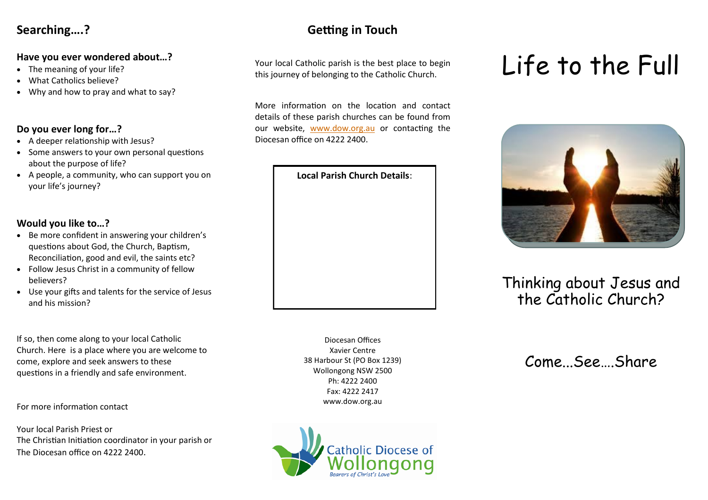# **Searching….?**

#### **Have you ever wondered about…?**

- The meaning of your life?
- What Catholics believe?
- Why and how to pray and what to say?

#### **Do you ever long for…?**

- A deeper relationship with Jesus?
- Some answers to your own personal questions about the purpose of life?
- A people, a community, who can support you on your life's journey?

### **Would you like to…?**

- Be more confident in answering your children's questions about God, the Church, Baptism, Reconciliation, good and evil, the saints etc?
- Follow Jesus Christ in a community of fellow believers?
- Use your gifts and talents for the service of Jesus and his mission?

If so, then come along to your local Catholic Church. Here is a place where you are welcome to come, explore and seek answers to these questions in a friendly and safe environment.

For more information contact

Your local Parish Priest or The Christian Initiation coordinator in your parish or The Diocesan office on 4222 2400.

# **Getting in Touch**

Your local Catholic parish is the best place to begin this journey of belonging to the Catholic Church.

More information on the location and contact details of these parish churches can be found from our website, [www.dow.org.au](http://www.dow.org.au) or contacting the Diocesan office on 4222 2400.



Diocesan Offices Xavier Centre 38 Harbour St (PO Box 1239) Wollongong NSW 2500 Ph: 4222 2400 Fax: 4222 2417 www.dow.org.au



# Life to the Full



# Thinking about Jesus and the Catholic Church?

Come See Share